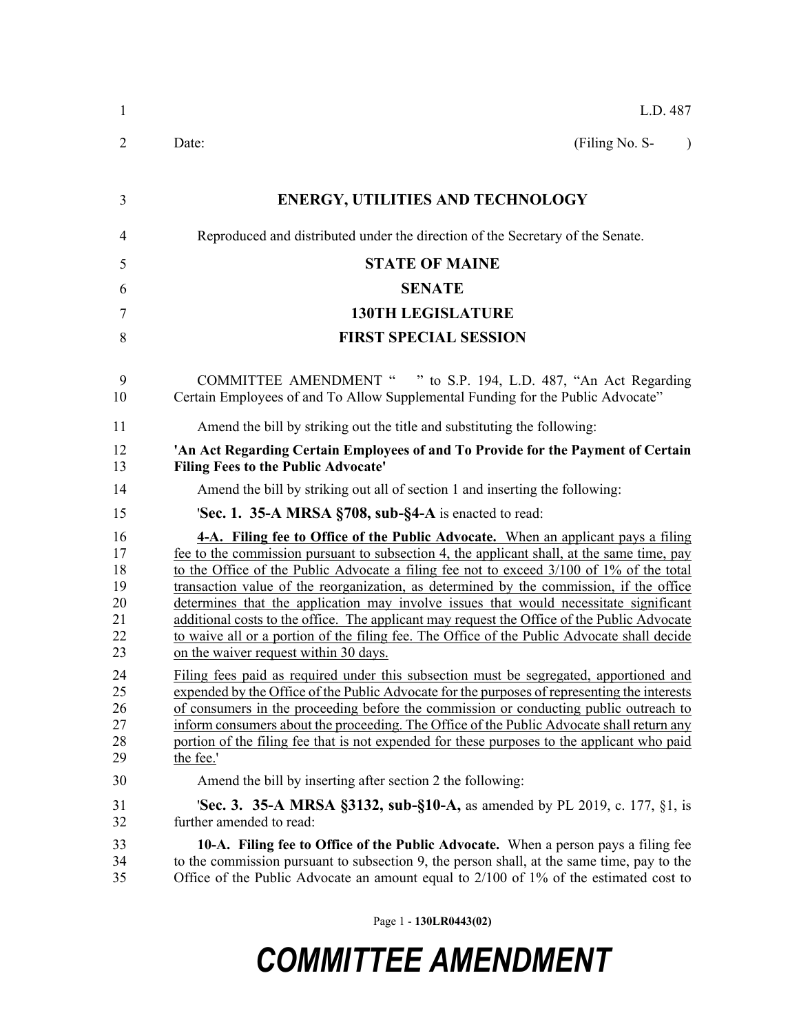| $\mathbf{1}$                                 | L.D. 487                                                                                                                                                                                                                                                                                                                                                                                                                                                                                                                                                                                                                                                                                               |
|----------------------------------------------|--------------------------------------------------------------------------------------------------------------------------------------------------------------------------------------------------------------------------------------------------------------------------------------------------------------------------------------------------------------------------------------------------------------------------------------------------------------------------------------------------------------------------------------------------------------------------------------------------------------------------------------------------------------------------------------------------------|
| $\overline{2}$                               | (Filing No. S-<br>Date:<br>$\lambda$                                                                                                                                                                                                                                                                                                                                                                                                                                                                                                                                                                                                                                                                   |
| 3                                            | <b>ENERGY, UTILITIES AND TECHNOLOGY</b>                                                                                                                                                                                                                                                                                                                                                                                                                                                                                                                                                                                                                                                                |
|                                              |                                                                                                                                                                                                                                                                                                                                                                                                                                                                                                                                                                                                                                                                                                        |
| $\overline{4}$                               | Reproduced and distributed under the direction of the Secretary of the Senate.                                                                                                                                                                                                                                                                                                                                                                                                                                                                                                                                                                                                                         |
| 5                                            | <b>STATE OF MAINE</b>                                                                                                                                                                                                                                                                                                                                                                                                                                                                                                                                                                                                                                                                                  |
| 6                                            | <b>SENATE</b>                                                                                                                                                                                                                                                                                                                                                                                                                                                                                                                                                                                                                                                                                          |
| 7                                            | <b>130TH LEGISLATURE</b>                                                                                                                                                                                                                                                                                                                                                                                                                                                                                                                                                                                                                                                                               |
| 8                                            | <b>FIRST SPECIAL SESSION</b>                                                                                                                                                                                                                                                                                                                                                                                                                                                                                                                                                                                                                                                                           |
| 9<br>10                                      | COMMITTEE AMENDMENT " " to S.P. 194, L.D. 487, "An Act Regarding<br>Certain Employees of and To Allow Supplemental Funding for the Public Advocate"                                                                                                                                                                                                                                                                                                                                                                                                                                                                                                                                                    |
| 11                                           | Amend the bill by striking out the title and substituting the following:                                                                                                                                                                                                                                                                                                                                                                                                                                                                                                                                                                                                                               |
| 12<br>13                                     | 'An Act Regarding Certain Employees of and To Provide for the Payment of Certain<br><b>Filing Fees to the Public Advocate'</b>                                                                                                                                                                                                                                                                                                                                                                                                                                                                                                                                                                         |
| 14                                           | Amend the bill by striking out all of section 1 and inserting the following:                                                                                                                                                                                                                                                                                                                                                                                                                                                                                                                                                                                                                           |
| 15                                           | <b>Sec. 1. 35-A MRSA §708, sub-§4-A</b> is enacted to read:                                                                                                                                                                                                                                                                                                                                                                                                                                                                                                                                                                                                                                            |
| 16<br>17<br>18<br>19<br>20<br>21<br>22<br>23 | 4-A. Filing fee to Office of the Public Advocate. When an applicant pays a filing<br>fee to the commission pursuant to subsection 4, the applicant shall, at the same time, pay<br>to the Office of the Public Advocate a filing fee not to exceed 3/100 of 1% of the total<br>transaction value of the reorganization, as determined by the commission, if the office<br>determines that the application may involve issues that would necessitate significant<br>additional costs to the office. The applicant may request the Office of the Public Advocate<br>to waive all or a portion of the filing fee. The Office of the Public Advocate shall decide<br>on the waiver request within 30 days. |
| 24<br>25<br>26<br>27<br>28<br>29             | Filing fees paid as required under this subsection must be segregated, apportioned and<br>expended by the Office of the Public Advocate for the purposes of representing the interests<br>of consumers in the proceeding before the commission or conducting public outreach to<br>inform consumers about the proceeding. The Office of the Public Advocate shall return any<br>portion of the filing fee that is not expended for these purposes to the applicant who paid<br>the fee.'                                                                                                                                                                                                               |
| 30                                           | Amend the bill by inserting after section 2 the following:                                                                                                                                                                                                                                                                                                                                                                                                                                                                                                                                                                                                                                             |
| 31<br>32                                     | 'Sec. 3. 35-A MRSA §3132, sub-§10-A, as amended by PL 2019, c. 177, §1, is<br>further amended to read:                                                                                                                                                                                                                                                                                                                                                                                                                                                                                                                                                                                                 |
| 33<br>34<br>35                               | 10-A. Filing fee to Office of the Public Advocate. When a person pays a filing fee<br>to the commission pursuant to subsection 9, the person shall, at the same time, pay to the<br>Office of the Public Advocate an amount equal to $2/100$ of 1% of the estimated cost to                                                                                                                                                                                                                                                                                                                                                                                                                            |

Page 1 - **130LR0443(02)**

## *COMMITTEE AMENDMENT*